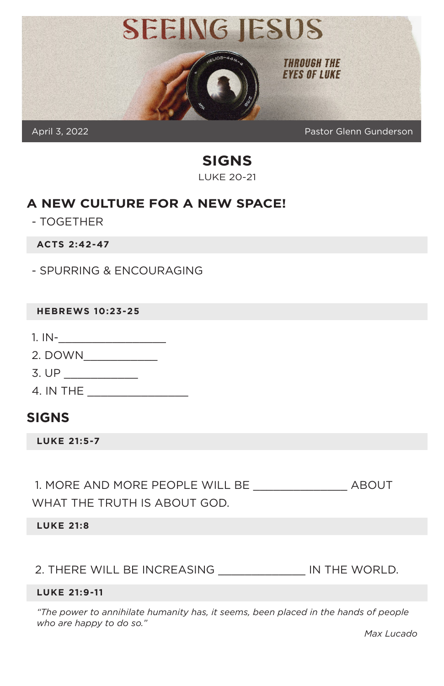

**SIGNS** LUKE 20-21

#### **A NEW CULTURE FOR A NEW SPACE!**

- TOGETHER

**ACTS 2:42-47**

- SPURRING & ENCOURAGING

#### **HEBREWS 10:23-25**

- $1.1N$ -
- 2. DOWN\_\_\_\_\_\_\_\_\_\_\_
- 3. UP \_\_\_\_\_\_\_\_\_\_\_
- 4. IN THE \_\_\_\_\_\_\_\_\_\_\_\_\_\_\_

## **SIGNS**

**LUKE 21:5-7**

1. MORE AND MORE PEOPLE WILL BE ABOUT WHAT THE TRUTH IS ABOUT GOD.

**LUKE 21:8**

2. THERE WILL BE INCREASING \_\_\_\_\_\_\_\_\_\_\_\_\_ IN THE WORLD.

#### **LUKE 21:9-11**

*"The power to annihilate humanity has, it seems, been placed in the hands of people who are happy to do so."* 

*Max Lucado*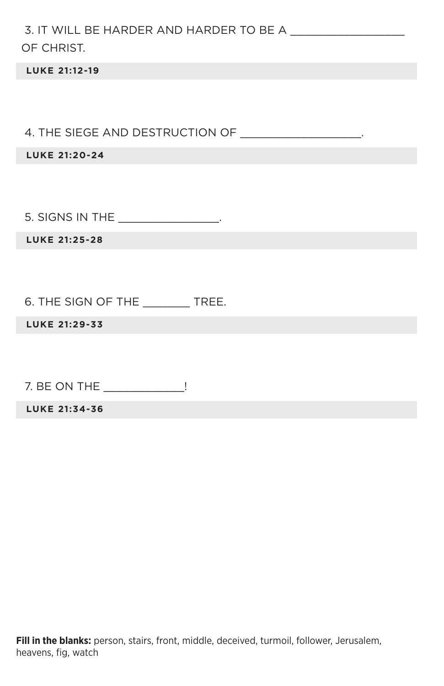| OF CHRIST.                                         |
|----------------------------------------------------|
| <b>LUKE 21:12-19</b>                               |
|                                                    |
| 4. THE SIEGE AND DESTRUCTION OF _________________. |
| <b>LUKE 21:20-24</b>                               |
|                                                    |
| 5. SIGNS IN THE __________________.                |
| <b>LUKE 21:25-28</b>                               |
|                                                    |
| 6. THE SIGN OF THE _________ TREE.                 |
| LUKE 21:29-33                                      |
|                                                    |
| 7. BE ON THE ______________!                       |
| LUKE 21:34-36                                      |
|                                                    |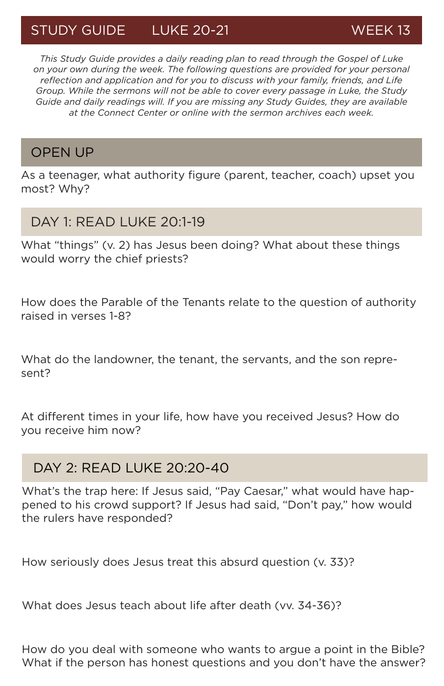# STUDY GUIDE LUKE 20-21 WEEK 13

*This Study Guide provides a daily reading plan to read through the Gospel of Luke on your own during the week. The following questions are provided for your personal reflection and application and for you to discuss with your family, friends, and Life Group. While the sermons will not be able to cover every passage in Luke, the Study Guide and daily readings will. If you are missing any Study Guides, they are available at the Connect Center or online with the sermon archives each week.*

### OPEN UP

As a teenager, what authority figure (parent, teacher, coach) upset you most? Why?

#### DAY 1: READ LUKE 20:1-19

What "things" (v. 2) has Jesus been doing? What about these things would worry the chief priests?

How does the Parable of the Tenants relate to the question of authority raised in verses 1-8?

What do the landowner, the tenant, the servants, and the son represent?

At different times in your life, how have you received Jesus? How do you receive him now?

## DAY 2: READ LUKE 20:20-40

What's the trap here: If Jesus said, "Pay Caesar," what would have happened to his crowd support? If Jesus had said, "Don't pay," how would the rulers have responded?

How seriously does Jesus treat this absurd question (v. 33)?

What does Jesus teach about life after death (vv. 34-36)?

How do you deal with someone who wants to argue a point in the Bible? What if the person has honest questions and you don't have the answer?